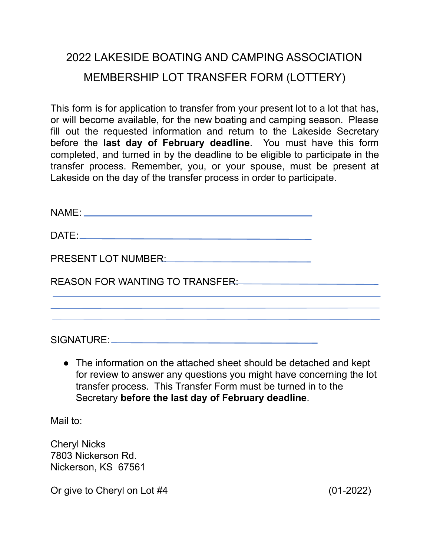## 2022 LAKESIDE BOATING AND CAMPING ASSOCIATION MEMBERSHIP LOT TRANSFER FORM (LOTTERY)

This form is for application to transfer from your present lot to a lot that has, or will become available, for the new boating and camping season. Please fill out the requested information and return to the Lakeside Secretary before the **last day of February deadline**. You must have this form completed, and turned in by the deadline to be eligible to participate in the transfer process. Remember, you, or your spouse, must be present at Lakeside on the day of the transfer process in order to participate.

| PRESENT LOT NUMBER: NAMEL AND THE SERVICE OF THE SERVICE OF THE SERVICE OF THE SERVICE OF THE SERVICE OF THE S |  |
|----------------------------------------------------------------------------------------------------------------|--|
| REASON FOR WANTING TO TRANSFER: Network and the set of the set of the set of the set of the set of the set of  |  |
|                                                                                                                |  |
|                                                                                                                |  |
|                                                                                                                |  |

SIGNATURE:

• The information on the attached sheet should be detached and kept for review to answer any questions you might have concerning the lot transfer process. This Transfer Form must be turned in to the Secretary **before the last day of February deadline**.

Mail to:

Cheryl Nicks 7803 Nickerson Rd. Nickerson, KS 67561

Or give to Cheryl on Lot #4 (01-2022)